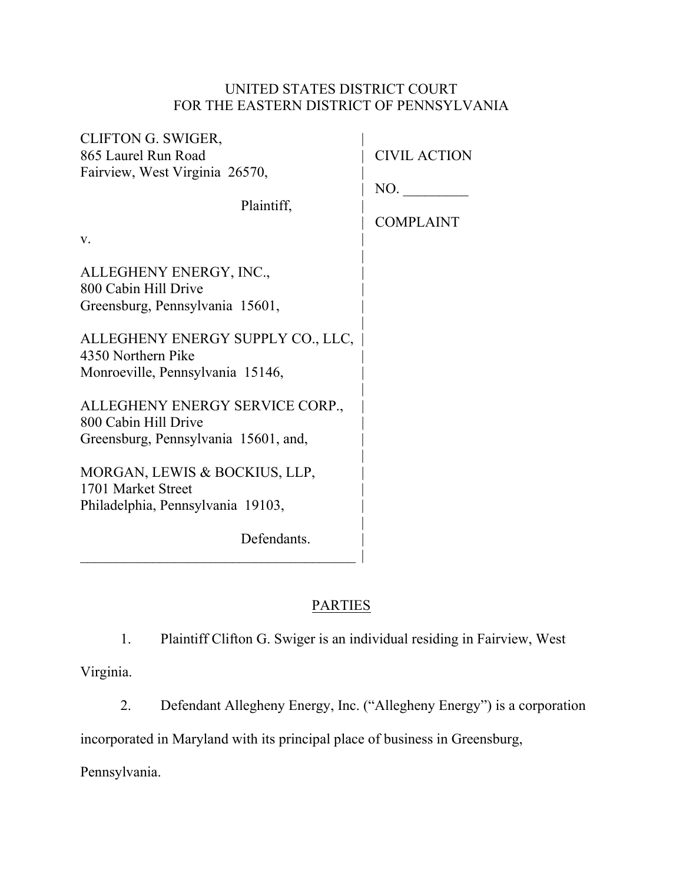# UNITED STATES DISTRICT COURT FOR THE EASTERN DISTRICT OF PENNSYLVANIA

| <b>CLIFTON G. SWIGER,</b><br>865 Laurel Run Road                                                | <b>CIVIL ACTION</b>     |
|-------------------------------------------------------------------------------------------------|-------------------------|
| Fairview, West Virginia 26570,                                                                  |                         |
| Plaintiff,                                                                                      | NO.<br><b>COMPLAINT</b> |
| V.                                                                                              |                         |
| ALLEGHENY ENERGY, INC.,<br>800 Cabin Hill Drive<br>Greensburg, Pennsylvania 15601,              |                         |
| ALLEGHENY ENERGY SUPPLY CO., LLC,<br>4350 Northern Pike<br>Monroeville, Pennsylvania 15146,     |                         |
| ALLEGHENY ENERGY SERVICE CORP.,<br>800 Cabin Hill Drive<br>Greensburg, Pennsylvania 15601, and, |                         |
| MORGAN, LEWIS & BOCKIUS, LLP,<br>1701 Market Street<br>Philadelphia, Pennsylvania 19103,        |                         |
| Defendants.                                                                                     |                         |

 $\blacksquare$ 

# **PARTIES**

1. Plaintiff Clifton G. Swiger is an individual residing in Fairview, West

Virginia.

2. Defendant Allegheny Energy, Inc. ("Allegheny Energy") is a corporation

incorporated in Maryland with its principal place of business in Greensburg,

Pennsylvania.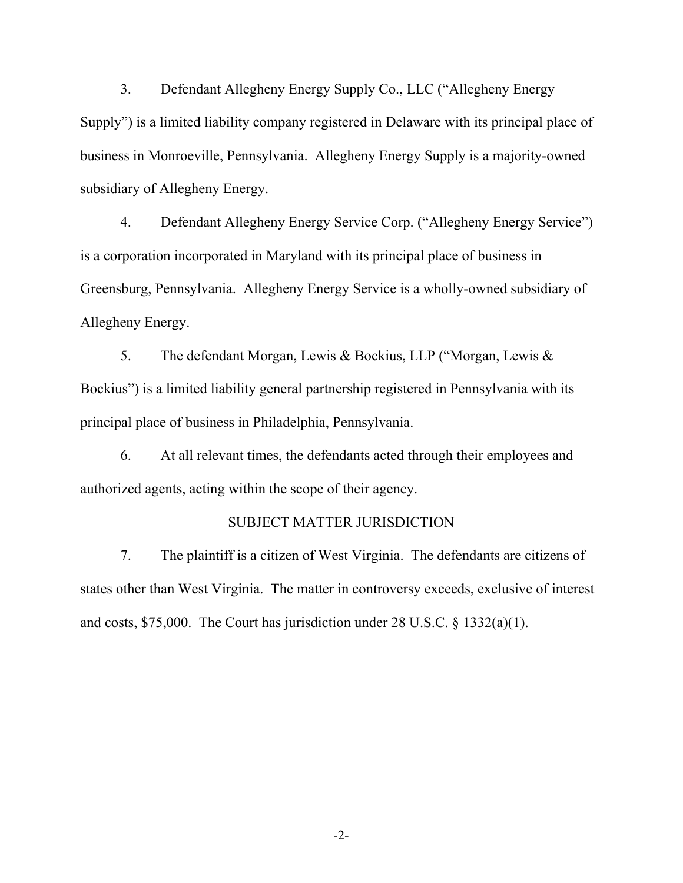3. Defendant Allegheny Energy Supply Co., LLC ("Allegheny Energy Supply") is a limited liability company registered in Delaware with its principal place of business in Monroeville, Pennsylvania. Allegheny Energy Supply is a majority-owned subsidiary of Allegheny Energy.

4. Defendant Allegheny Energy Service Corp. ("Allegheny Energy Service") is a corporation incorporated in Maryland with its principal place of business in Greensburg, Pennsylvania. Allegheny Energy Service is a wholly-owned subsidiary of Allegheny Energy.

5. The defendant Morgan, Lewis & Bockius, LLP ("Morgan, Lewis & Bockius") is a limited liability general partnership registered in Pennsylvania with its principal place of business in Philadelphia, Pennsylvania.

6. At all relevant times, the defendants acted through their employees and authorized agents, acting within the scope of their agency.

### SUBJECT MATTER JURISDICTION

7. The plaintiff is a citizen of West Virginia. The defendants are citizens of states other than West Virginia. The matter in controversy exceeds, exclusive of interest and costs, \$75,000. The Court has jurisdiction under 28 U.S.C. § 1332(a)(1).

-2-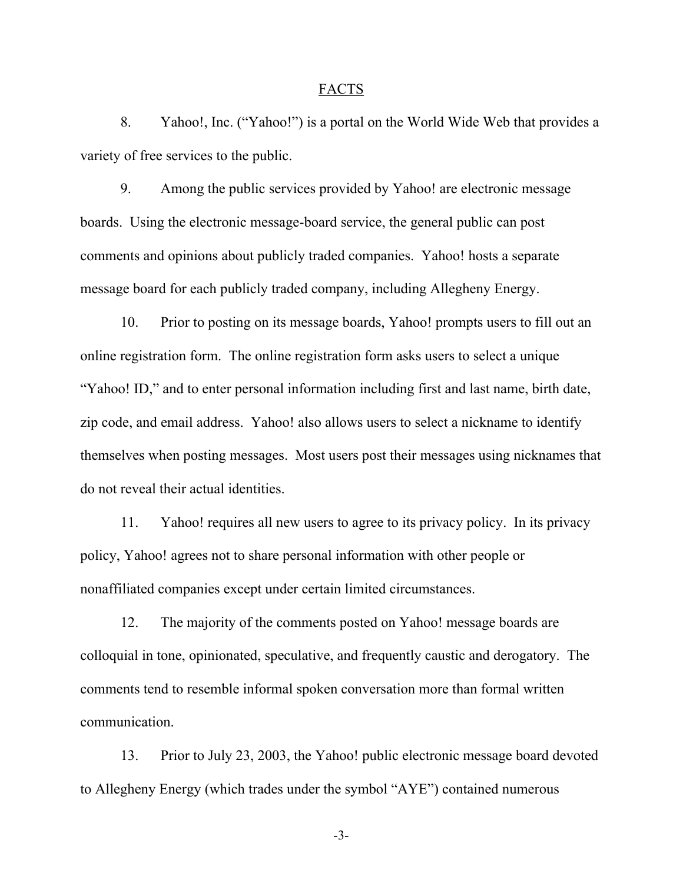### FACTS

8. Yahoo!, Inc. ("Yahoo!") is a portal on the World Wide Web that provides a variety of free services to the public.

9. Among the public services provided by Yahoo! are electronic message boards. Using the electronic message-board service, the general public can post comments and opinions about publicly traded companies. Yahoo! hosts a separate message board for each publicly traded company, including Allegheny Energy.

10. Prior to posting on its message boards, Yahoo! prompts users to fill out an online registration form. The online registration form asks users to select a unique "Yahoo! ID," and to enter personal information including first and last name, birth date, zip code, and email address. Yahoo! also allows users to select a nickname to identify themselves when posting messages. Most users post their messages using nicknames that do not reveal their actual identities.

11. Yahoo! requires all new users to agree to its privacy policy. In its privacy policy, Yahoo! agrees not to share personal information with other people or nonaffiliated companies except under certain limited circumstances.

12. The majority of the comments posted on Yahoo! message boards are colloquial in tone, opinionated, speculative, and frequently caustic and derogatory. The comments tend to resemble informal spoken conversation more than formal written communication.

13. Prior to July 23, 2003, the Yahoo! public electronic message board devoted to Allegheny Energy (which trades under the symbol "AYE") contained numerous

-3-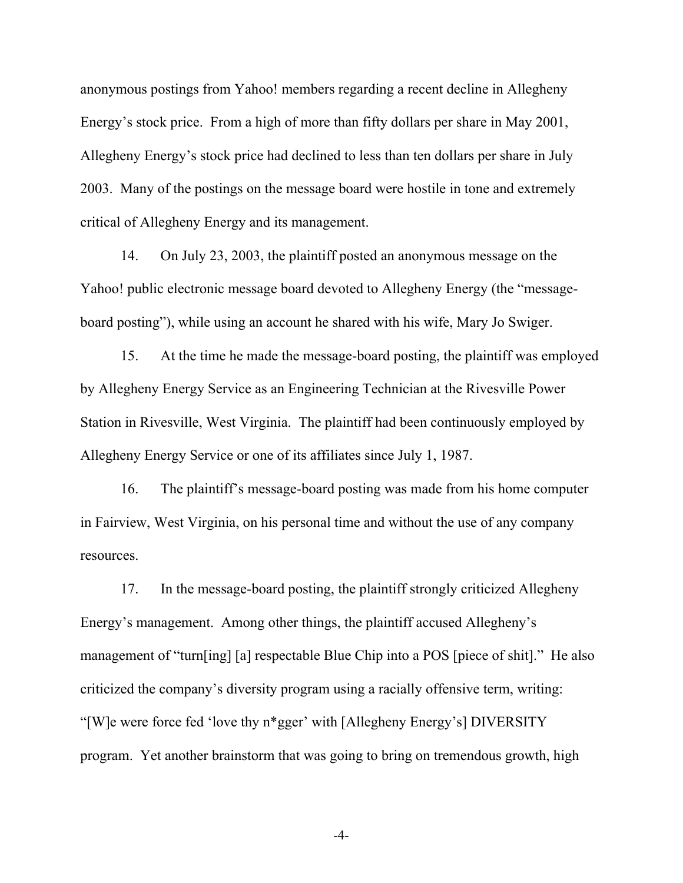anonymous postings from Yahoo! members regarding a recent decline in Allegheny Energy's stock price. From a high of more than fifty dollars per share in May 2001, Allegheny Energy's stock price had declined to less than ten dollars per share in July 2003. Many of the postings on the message board were hostile in tone and extremely critical of Allegheny Energy and its management.

14. On July 23, 2003, the plaintiff posted an anonymous message on the Yahoo! public electronic message board devoted to Allegheny Energy (the "messageboard posting"), while using an account he shared with his wife, Mary Jo Swiger.

15. At the time he made the message-board posting, the plaintiff was employed by Allegheny Energy Service as an Engineering Technician at the Rivesville Power Station in Rivesville, West Virginia. The plaintiff had been continuously employed by Allegheny Energy Service or one of its affiliates since July 1, 1987.

16. The plaintiff's message-board posting was made from his home computer in Fairview, West Virginia, on his personal time and without the use of any company resources.

17. In the message-board posting, the plaintiff strongly criticized Allegheny Energy's management. Among other things, the plaintiff accused Allegheny's management of "turn[ing] [a] respectable Blue Chip into a POS [piece of shit]." He also criticized the company's diversity program using a racially offensive term, writing: "[W]e were force fed 'love thy n\*gger' with [Allegheny Energy's] DIVERSITY program. Yet another brainstorm that was going to bring on tremendous growth, high

-4-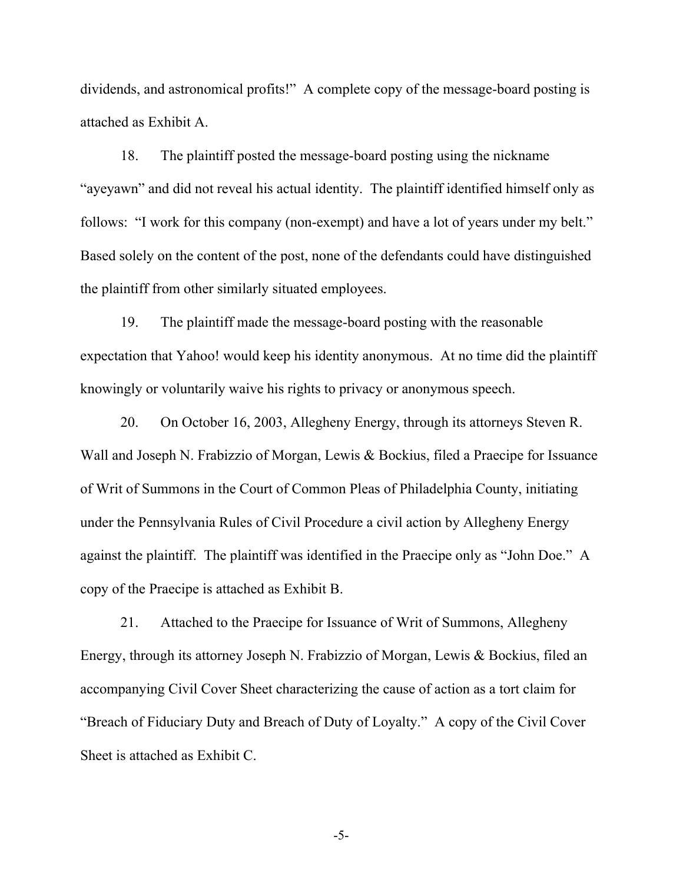dividends, and astronomical profits!" A complete copy of the message-board posting is attached as Exhibit A.

18. The plaintiff posted the message-board posting using the nickname "ayeyawn" and did not reveal his actual identity. The plaintiff identified himself only as follows: "I work for this company (non-exempt) and have a lot of years under my belt." Based solely on the content of the post, none of the defendants could have distinguished the plaintiff from other similarly situated employees.

19. The plaintiff made the message-board posting with the reasonable expectation that Yahoo! would keep his identity anonymous. At no time did the plaintiff knowingly or voluntarily waive his rights to privacy or anonymous speech.

20. On October 16, 2003, Allegheny Energy, through its attorneys Steven R. Wall and Joseph N. Frabizzio of Morgan, Lewis & Bockius, filed a Praecipe for Issuance of Writ of Summons in the Court of Common Pleas of Philadelphia County, initiating under the Pennsylvania Rules of Civil Procedure a civil action by Allegheny Energy against the plaintiff. The plaintiff was identified in the Praecipe only as "John Doe." A copy of the Praecipe is attached as Exhibit B.

21. Attached to the Praecipe for Issuance of Writ of Summons, Allegheny Energy, through its attorney Joseph N. Frabizzio of Morgan, Lewis & Bockius, filed an accompanying Civil Cover Sheet characterizing the cause of action as a tort claim for "Breach of Fiduciary Duty and Breach of Duty of Loyalty." A copy of the Civil Cover Sheet is attached as Exhibit C.

-5-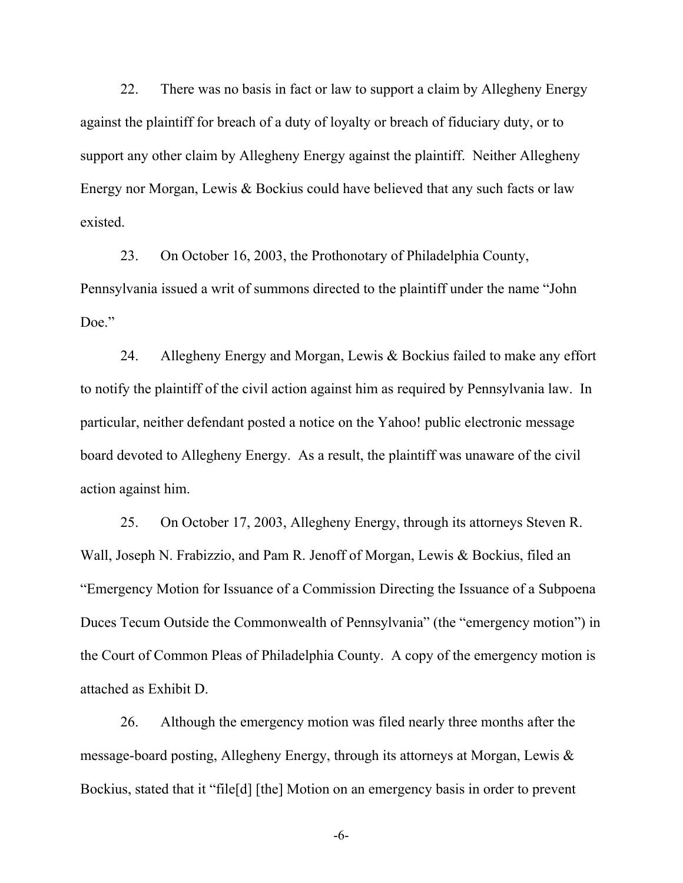22. There was no basis in fact or law to support a claim by Allegheny Energy against the plaintiff for breach of a duty of loyalty or breach of fiduciary duty, or to support any other claim by Allegheny Energy against the plaintiff. Neither Allegheny Energy nor Morgan, Lewis & Bockius could have believed that any such facts or law existed.

23. On October 16, 2003, the Prothonotary of Philadelphia County, Pennsylvania issued a writ of summons directed to the plaintiff under the name "John Doe."

24. Allegheny Energy and Morgan, Lewis & Bockius failed to make any effort to notify the plaintiff of the civil action against him as required by Pennsylvania law. In particular, neither defendant posted a notice on the Yahoo! public electronic message board devoted to Allegheny Energy. As a result, the plaintiff was unaware of the civil action against him.

25. On October 17, 2003, Allegheny Energy, through its attorneys Steven R. Wall, Joseph N. Frabizzio, and Pam R. Jenoff of Morgan, Lewis & Bockius, filed an "Emergency Motion for Issuance of a Commission Directing the Issuance of a Subpoena Duces Tecum Outside the Commonwealth of Pennsylvania" (the "emergency motion") in the Court of Common Pleas of Philadelphia County. A copy of the emergency motion is attached as Exhibit D.

26. Although the emergency motion was filed nearly three months after the message-board posting, Allegheny Energy, through its attorneys at Morgan, Lewis & Bockius, stated that it "file[d] [the] Motion on an emergency basis in order to prevent

-6-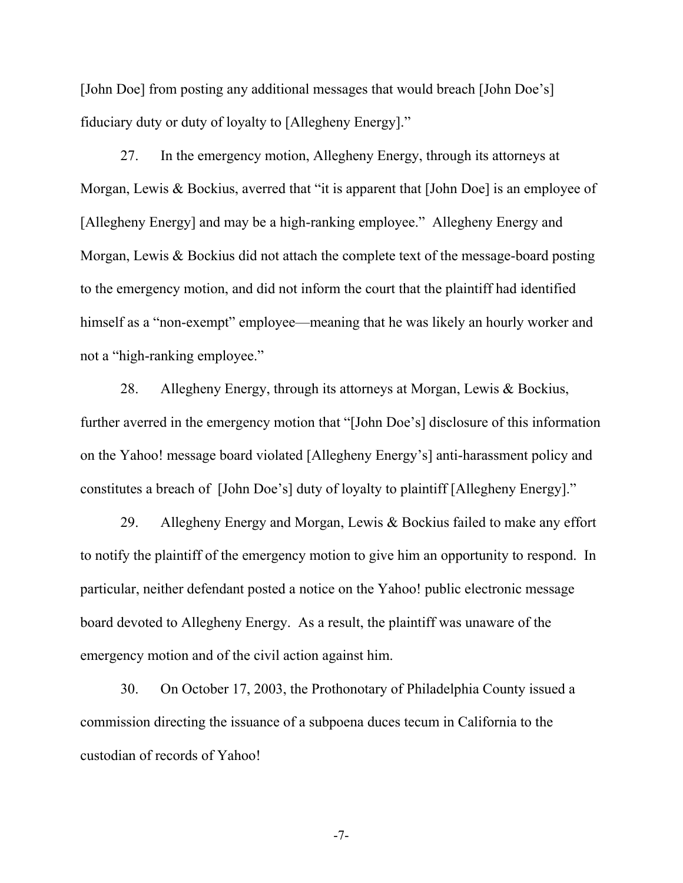[John Doe] from posting any additional messages that would breach [John Doe's] fiduciary duty or duty of loyalty to [Allegheny Energy]."

27. In the emergency motion, Allegheny Energy, through its attorneys at Morgan, Lewis & Bockius, averred that "it is apparent that [John Doe] is an employee of [Allegheny Energy] and may be a high-ranking employee." Allegheny Energy and Morgan, Lewis & Bockius did not attach the complete text of the message-board posting to the emergency motion, and did not inform the court that the plaintiff had identified himself as a "non-exempt" employee—meaning that he was likely an hourly worker and not a "high-ranking employee."

28. Allegheny Energy, through its attorneys at Morgan, Lewis & Bockius, further averred in the emergency motion that "[John Doe's] disclosure of this information on the Yahoo! message board violated [Allegheny Energy's] anti-harassment policy and constitutes a breach of [John Doe's] duty of loyalty to plaintiff [Allegheny Energy]."

29. Allegheny Energy and Morgan, Lewis & Bockius failed to make any effort to notify the plaintiff of the emergency motion to give him an opportunity to respond. In particular, neither defendant posted a notice on the Yahoo! public electronic message board devoted to Allegheny Energy. As a result, the plaintiff was unaware of the emergency motion and of the civil action against him.

30. On October 17, 2003, the Prothonotary of Philadelphia County issued a commission directing the issuance of a subpoena duces tecum in California to the custodian of records of Yahoo!

-7-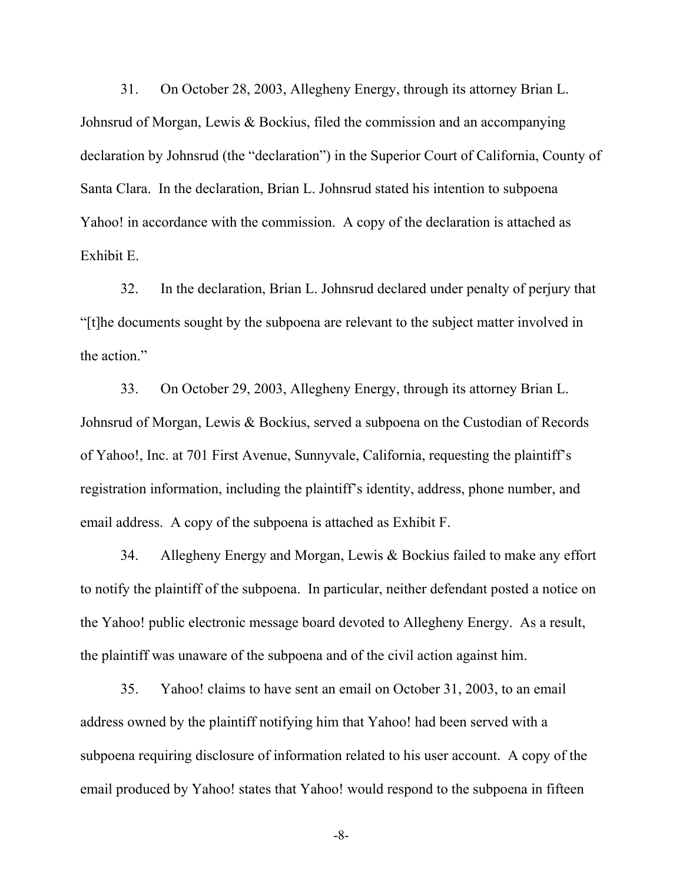31. On October 28, 2003, Allegheny Energy, through its attorney Brian L. Johnsrud of Morgan, Lewis & Bockius, filed the commission and an accompanying declaration by Johnsrud (the "declaration") in the Superior Court of California, County of Santa Clara. In the declaration, Brian L. Johnsrud stated his intention to subpoena Yahoo! in accordance with the commission. A copy of the declaration is attached as Exhibit E.

32. In the declaration, Brian L. Johnsrud declared under penalty of perjury that "[t]he documents sought by the subpoena are relevant to the subject matter involved in the action."

33. On October 29, 2003, Allegheny Energy, through its attorney Brian L. Johnsrud of Morgan, Lewis & Bockius, served a subpoena on the Custodian of Records of Yahoo!, Inc. at 701 First Avenue, Sunnyvale, California, requesting the plaintiff's registration information, including the plaintiff's identity, address, phone number, and email address. A copy of the subpoena is attached as Exhibit F.

34. Allegheny Energy and Morgan, Lewis & Bockius failed to make any effort to notify the plaintiff of the subpoena. In particular, neither defendant posted a notice on the Yahoo! public electronic message board devoted to Allegheny Energy. As a result, the plaintiff was unaware of the subpoena and of the civil action against him.

35. Yahoo! claims to have sent an email on October 31, 2003, to an email address owned by the plaintiff notifying him that Yahoo! had been served with a subpoena requiring disclosure of information related to his user account. A copy of the email produced by Yahoo! states that Yahoo! would respond to the subpoena in fifteen

-8-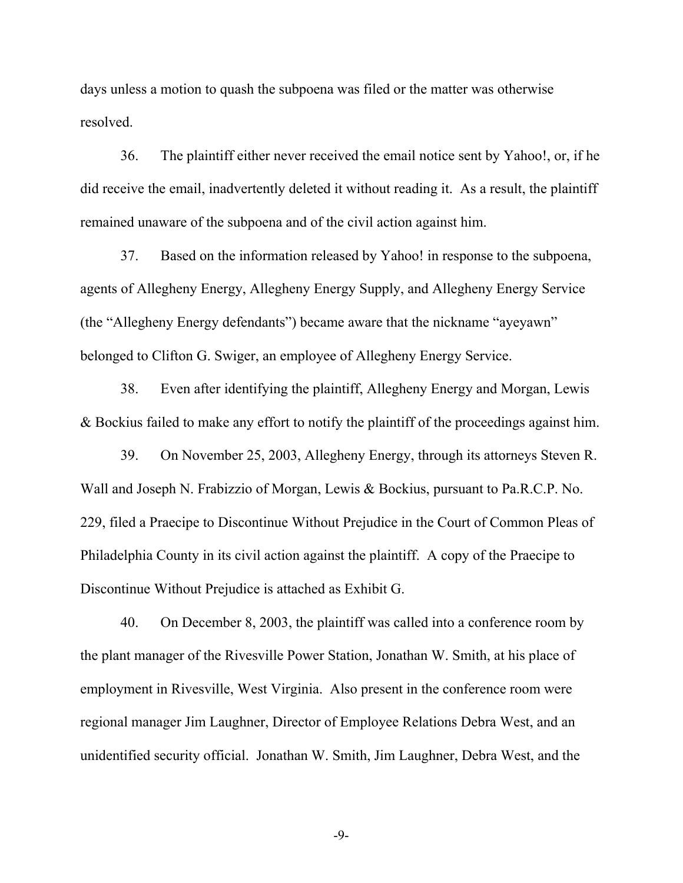days unless a motion to quash the subpoena was filed or the matter was otherwise resolved.

36. The plaintiff either never received the email notice sent by Yahoo!, or, if he did receive the email, inadvertently deleted it without reading it. As a result, the plaintiff remained unaware of the subpoena and of the civil action against him.

37. Based on the information released by Yahoo! in response to the subpoena, agents of Allegheny Energy, Allegheny Energy Supply, and Allegheny Energy Service (the "Allegheny Energy defendants") became aware that the nickname "ayeyawn" belonged to Clifton G. Swiger, an employee of Allegheny Energy Service.

38. Even after identifying the plaintiff, Allegheny Energy and Morgan, Lewis & Bockius failed to make any effort to notify the plaintiff of the proceedings against him.

39. On November 25, 2003, Allegheny Energy, through its attorneys Steven R. Wall and Joseph N. Frabizzio of Morgan, Lewis & Bockius, pursuant to Pa.R.C.P. No. 229, filed a Praecipe to Discontinue Without Prejudice in the Court of Common Pleas of Philadelphia County in its civil action against the plaintiff. A copy of the Praecipe to Discontinue Without Prejudice is attached as Exhibit G.

40. On December 8, 2003, the plaintiff was called into a conference room by the plant manager of the Rivesville Power Station, Jonathan W. Smith, at his place of employment in Rivesville, West Virginia. Also present in the conference room were regional manager Jim Laughner, Director of Employee Relations Debra West, and an unidentified security official. Jonathan W. Smith, Jim Laughner, Debra West, and the

-9-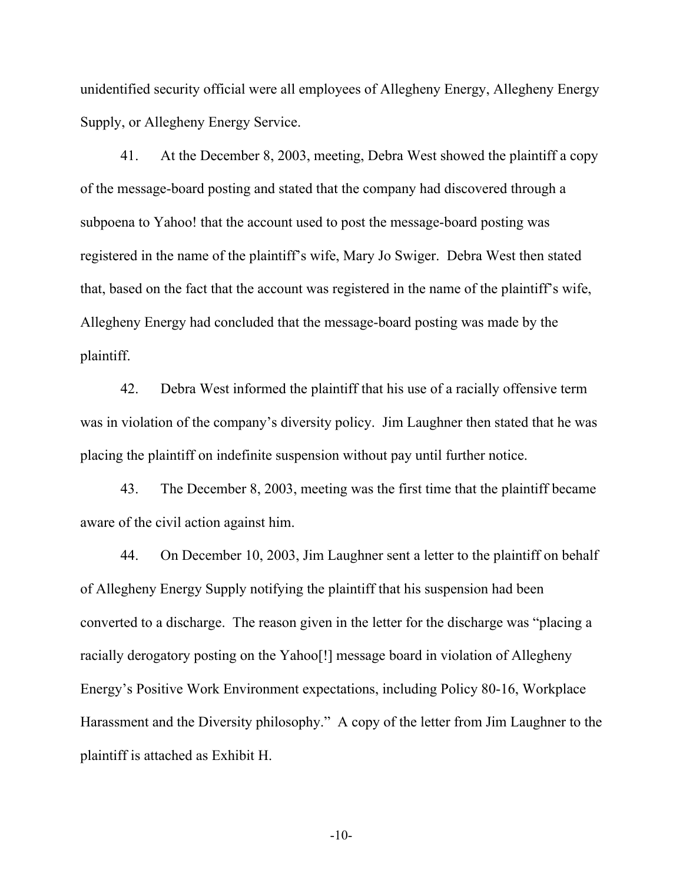unidentified security official were all employees of Allegheny Energy, Allegheny Energy Supply, or Allegheny Energy Service.

41. At the December 8, 2003, meeting, Debra West showed the plaintiff a copy of the message-board posting and stated that the company had discovered through a subpoena to Yahoo! that the account used to post the message-board posting was registered in the name of the plaintiff's wife, Mary Jo Swiger. Debra West then stated that, based on the fact that the account was registered in the name of the plaintiff's wife, Allegheny Energy had concluded that the message-board posting was made by the plaintiff.

42. Debra West informed the plaintiff that his use of a racially offensive term was in violation of the company's diversity policy. Jim Laughner then stated that he was placing the plaintiff on indefinite suspension without pay until further notice.

43. The December 8, 2003, meeting was the first time that the plaintiff became aware of the civil action against him.

44. On December 10, 2003, Jim Laughner sent a letter to the plaintiff on behalf of Allegheny Energy Supply notifying the plaintiff that his suspension had been converted to a discharge. The reason given in the letter for the discharge was "placing a racially derogatory posting on the Yahoo[!] message board in violation of Allegheny Energy's Positive Work Environment expectations, including Policy 80-16, Workplace Harassment and the Diversity philosophy." A copy of the letter from Jim Laughner to the plaintiff is attached as Exhibit H.

-10-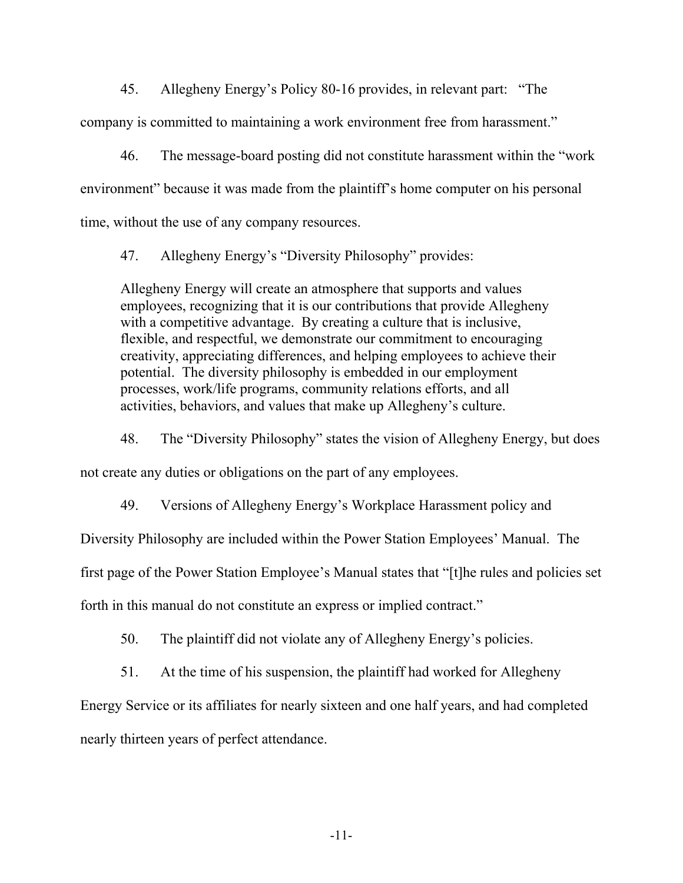45. Allegheny Energy's Policy 80-16 provides, in relevant part: "The company is committed to maintaining a work environment free from harassment."

46. The message-board posting did not constitute harassment within the "work environment" because it was made from the plaintiff's home computer on his personal time, without the use of any company resources.

47. Allegheny Energy's "Diversity Philosophy" provides:

Allegheny Energy will create an atmosphere that supports and values employees, recognizing that it is our contributions that provide Allegheny with a competitive advantage. By creating a culture that is inclusive, flexible, and respectful, we demonstrate our commitment to encouraging creativity, appreciating differences, and helping employees to achieve their potential. The diversity philosophy is embedded in our employment processes, work/life programs, community relations efforts, and all activities, behaviors, and values that make up Allegheny's culture.

48. The "Diversity Philosophy" states the vision of Allegheny Energy, but does

not create any duties or obligations on the part of any employees.

49. Versions of Allegheny Energy's Workplace Harassment policy and

Diversity Philosophy are included within the Power Station Employees' Manual. The

first page of the Power Station Employee's Manual states that "[t]he rules and policies set

forth in this manual do not constitute an express or implied contract."

50. The plaintiff did not violate any of Allegheny Energy's policies.

51. At the time of his suspension, the plaintiff had worked for Allegheny

Energy Service or its affiliates for nearly sixteen and one half years, and had completed

nearly thirteen years of perfect attendance.

-11-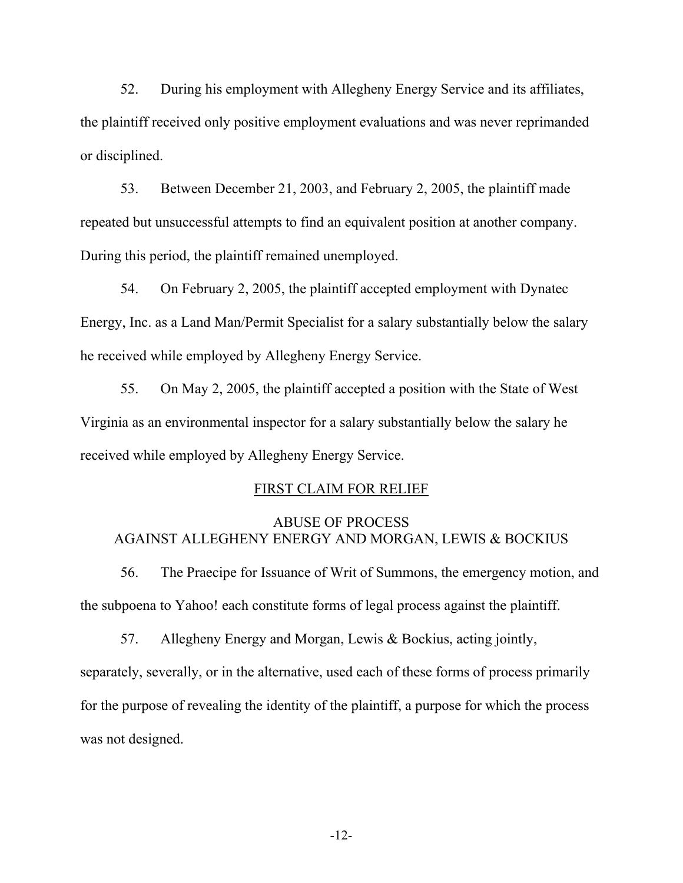52. During his employment with Allegheny Energy Service and its affiliates, the plaintiff received only positive employment evaluations and was never reprimanded or disciplined.

53. Between December 21, 2003, and February 2, 2005, the plaintiff made repeated but unsuccessful attempts to find an equivalent position at another company. During this period, the plaintiff remained unemployed.

54. On February 2, 2005, the plaintiff accepted employment with Dynatec Energy, Inc. as a Land Man/Permit Specialist for a salary substantially below the salary he received while employed by Allegheny Energy Service.

55. On May 2, 2005, the plaintiff accepted a position with the State of West Virginia as an environmental inspector for a salary substantially below the salary he received while employed by Allegheny Energy Service.

### FIRST CLAIM FOR RELIEF

## ABUSE OF PROCESS AGAINST ALLEGHENY ENERGY AND MORGAN, LEWIS & BOCKIUS

56. The Praecipe for Issuance of Writ of Summons, the emergency motion, and the subpoena to Yahoo! each constitute forms of legal process against the plaintiff.

57. Allegheny Energy and Morgan, Lewis & Bockius, acting jointly, separately, severally, or in the alternative, used each of these forms of process primarily for the purpose of revealing the identity of the plaintiff, a purpose for which the process was not designed.

-12-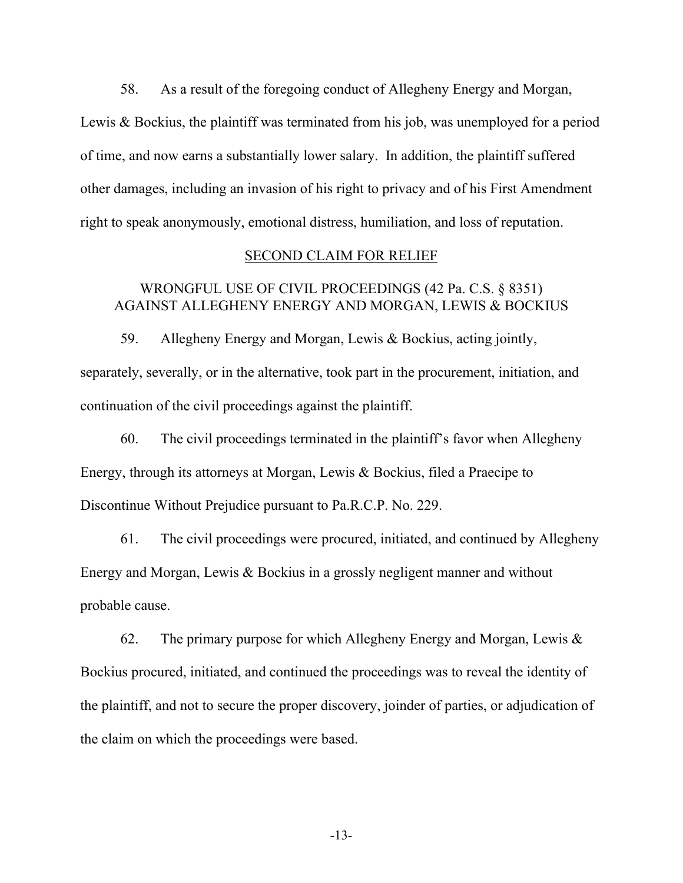58. As a result of the foregoing conduct of Allegheny Energy and Morgan, Lewis & Bockius, the plaintiff was terminated from his job, was unemployed for a period of time, and now earns a substantially lower salary. In addition, the plaintiff suffered other damages, including an invasion of his right to privacy and of his First Amendment right to speak anonymously, emotional distress, humiliation, and loss of reputation.

### SECOND CLAIM FOR RELIEF

# WRONGFUL USE OF CIVIL PROCEEDINGS (42 Pa. C.S. § 8351) AGAINST ALLEGHENY ENERGY AND MORGAN, LEWIS & BOCKIUS

59. Allegheny Energy and Morgan, Lewis & Bockius, acting jointly, separately, severally, or in the alternative, took part in the procurement, initiation, and continuation of the civil proceedings against the plaintiff.

60. The civil proceedings terminated in the plaintiff's favor when Allegheny Energy, through its attorneys at Morgan, Lewis & Bockius, filed a Praecipe to Discontinue Without Prejudice pursuant to Pa.R.C.P. No. 229.

61. The civil proceedings were procured, initiated, and continued by Allegheny Energy and Morgan, Lewis & Bockius in a grossly negligent manner and without probable cause.

62. The primary purpose for which Allegheny Energy and Morgan, Lewis  $\&$ Bockius procured, initiated, and continued the proceedings was to reveal the identity of the plaintiff, and not to secure the proper discovery, joinder of parties, or adjudication of the claim on which the proceedings were based.

-13-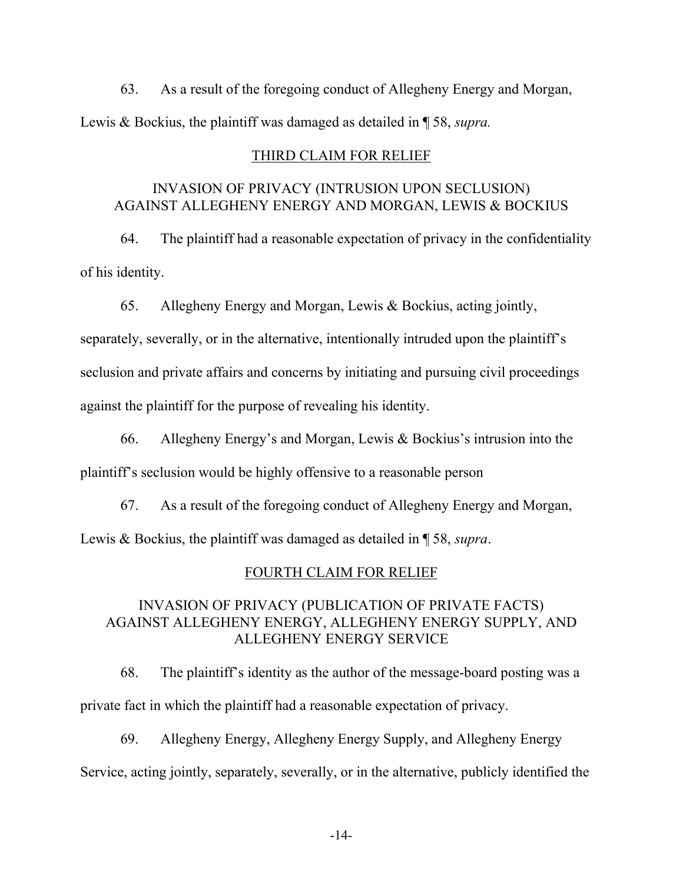63. As a result of the foregoing conduct of Allegheny Energy and Morgan, Lewis & Bockius, the plaintiff was damaged as detailed in ¶ 58, *supra.*

### THIRD CLAIM FOR RELIEF

## INVASION OF PRIVACY (INTRUSION UPON SECLUSION) AGAINST ALLEGHENY ENERGY AND MORGAN, LEWIS & BOCKIUS

64. The plaintiff had a reasonable expectation of privacy in the confidentiality of his identity.

65. Allegheny Energy and Morgan, Lewis & Bockius, acting jointly,

separately, severally, or in the alternative, intentionally intruded upon the plaintiff's seclusion and private affairs and concerns by initiating and pursuing civil proceedings against the plaintiff for the purpose of revealing his identity.

66. Allegheny Energy's and Morgan, Lewis & Bockius's intrusion into the plaintiff's seclusion would be highly offensive to a reasonable person

67. As a result of the foregoing conduct of Allegheny Energy and Morgan, Lewis & Bockius, the plaintiff was damaged as detailed in ¶ 58, *supra*.

### FOURTH CLAIM FOR RELIEF

## INVASION OF PRIVACY (PUBLICATION OF PRIVATE FACTS) AGAINST ALLEGHENY ENERGY, ALLEGHENY ENERGY SUPPLY, AND ALLEGHENY ENERGY SERVICE

68. The plaintiff's identity as the author of the message-board posting was a private fact in which the plaintiff had a reasonable expectation of privacy.

69. Allegheny Energy, Allegheny Energy Supply, and Allegheny Energy Service, acting jointly, separately, severally, or in the alternative, publicly identified the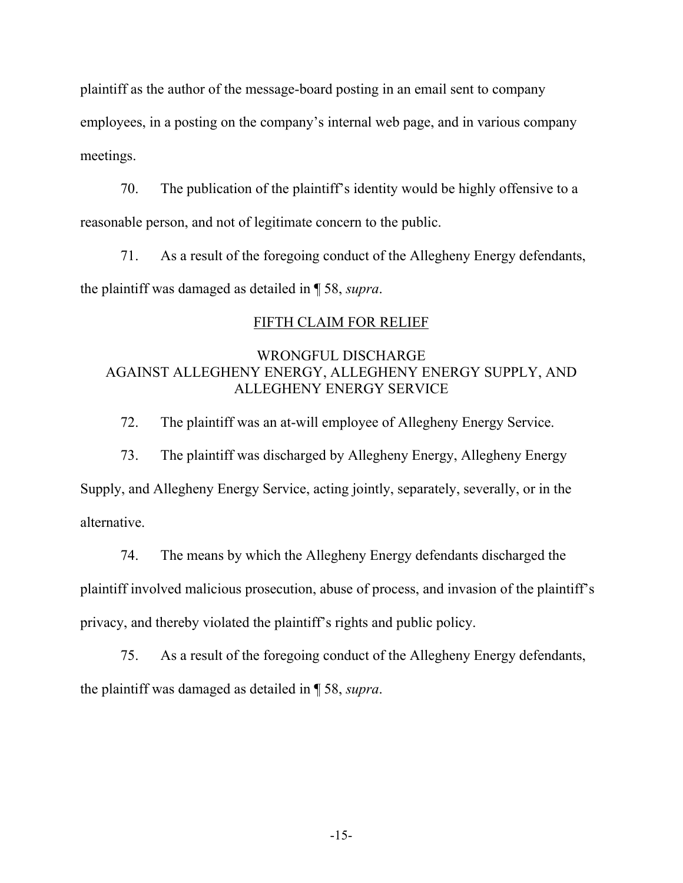plaintiff as the author of the message-board posting in an email sent to company employees, in a posting on the company's internal web page, and in various company meetings.

70. The publication of the plaintiff's identity would be highly offensive to a reasonable person, and not of legitimate concern to the public.

71. As a result of the foregoing conduct of the Allegheny Energy defendants, the plaintiff was damaged as detailed in ¶ 58, *supra*.

# FIFTH CLAIM FOR RELIEF

## WRONGFUL DISCHARGE AGAINST ALLEGHENY ENERGY, ALLEGHENY ENERGY SUPPLY, AND ALLEGHENY ENERGY SERVICE

72. The plaintiff was an at-will employee of Allegheny Energy Service.

73. The plaintiff was discharged by Allegheny Energy, Allegheny Energy Supply, and Allegheny Energy Service, acting jointly, separately, severally, or in the

alternative.

74. The means by which the Allegheny Energy defendants discharged the plaintiff involved malicious prosecution, abuse of process, and invasion of the plaintiff's privacy, and thereby violated the plaintiff's rights and public policy.

75. As a result of the foregoing conduct of the Allegheny Energy defendants, the plaintiff was damaged as detailed in ¶ 58, *supra*.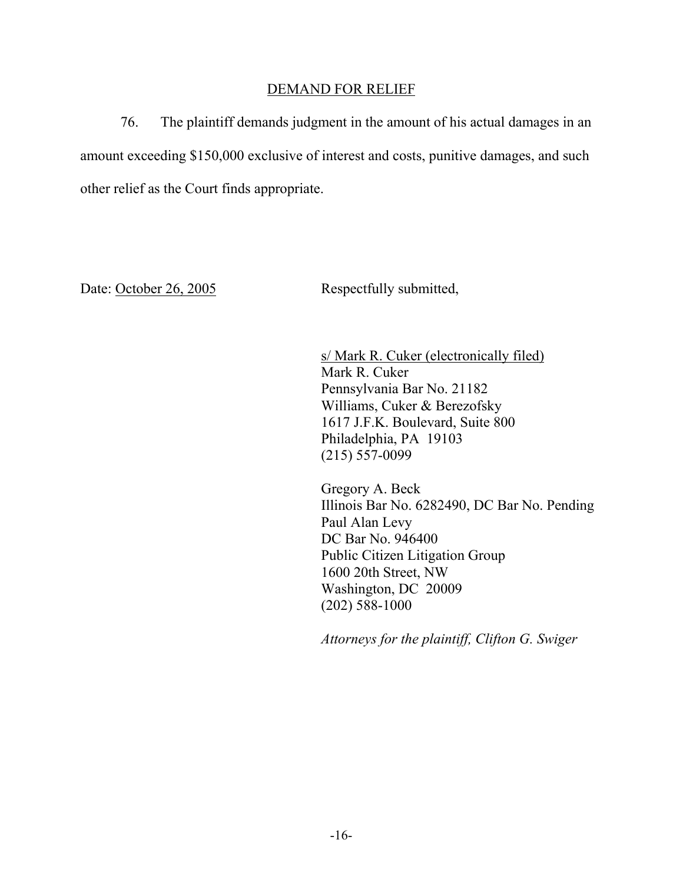## DEMAND FOR RELIEF

76. The plaintiff demands judgment in the amount of his actual damages in an amount exceeding \$150,000 exclusive of interest and costs, punitive damages, and such other relief as the Court finds appropriate.

Date: October 26, 2005 Respectfully submitted,

 s/ Mark R. Cuker (electronically filed) Mark R. Cuker Pennsylvania Bar No. 21182 Williams, Cuker & Berezofsky 1617 J.F.K. Boulevard, Suite 800 Philadelphia, PA 19103 (215) 557-0099

Gregory A. Beck Illinois Bar No. 6282490, DC Bar No. Pending Paul Alan Levy DC Bar No. 946400 Public Citizen Litigation Group 1600 20th Street, NW Washington, DC 20009 (202) 588-1000

*Attorneys for the plaintiff, Clifton G. Swiger*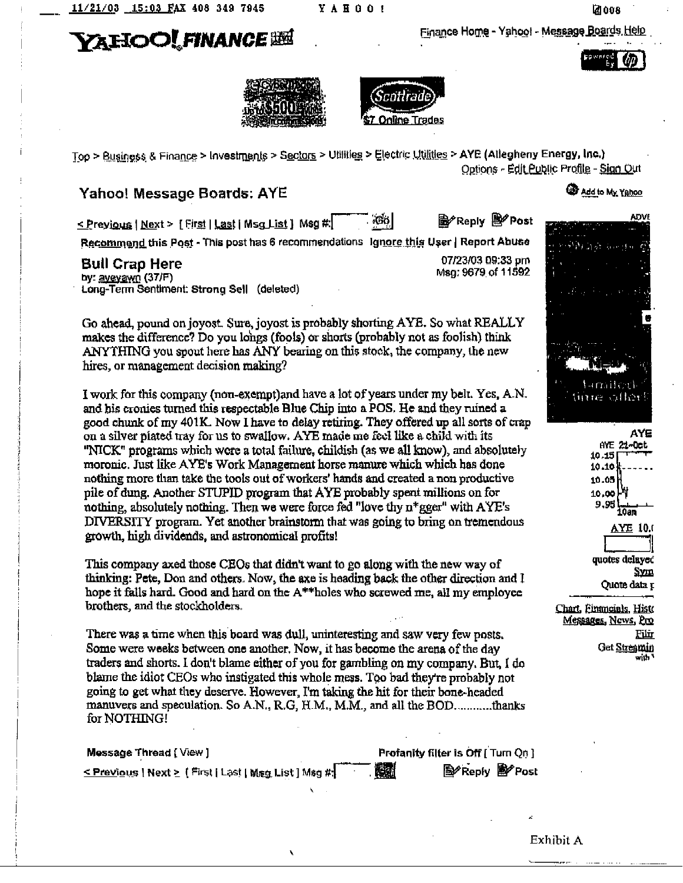YAHOO!

**VAIIOOLFINANCE BEL** 

Finance Home - Yahoo! - Message Boards Help







Top > Business & Finance > Investments > Sectors > Utilities > Electric Utilities > AYE (Allegheny Energy, Inc.) Options - Edit Public Profile - Sign Out

## **Yahoo! Message Boards: AYE**

<u>< P</u>rey<u>ious</u> | <u>Next > [First | Last | Msg List</u> ]Msg #:

**脸 Reply 殿 Post** 'Gol

07/23/03 09:33 pm

Msg: 9679 of 11592

Recommend this Post - This post has 6 recommendations Ignore this User | Report Abuse

#### **Bull Crap Here**

by: avevayn (37/F) Long-Term Sentiment: Strong Sell (deleted)

Go ahead, pound on joyost. Sure, joyost is probably shorting AYE. So what REALLY makes the difference? Do you longs (fools) or shorts (probably not as foolish) think ANYTHING you spout here has ANY bearing on this stock, the company, the new hires, or management decision making?

I work for this company (non-exempt) and have a lot of years under my belt. Yes. A.N. and his cronies turned this respectable Blue Chip into a POS. He and they ruined a good chunk of my 401K. Now I have to delay retiring. They offered up all sorts of crap on a silver plated tray for us to swallow. AYE made me feel like a child with its "NICK" programs which were a total failure, childish (as we all know), and absolutely moronic. Just like AYE's Work Management horse manure which which has done nothing more than take the tools out of workers' hands and created a non productive pile of dung. Another STUPID program that AYE probably spent millions on for nothing, absolutely nothing. Then we were force fed "love thy n\*gger" with AYE's DIVERSITY program. Yet another brainstorm that was going to bring on tremendous growth, high dividends, and astronomical profits!

This company axed those CEOs that didn't want to go along with the new way of thinking: Pete, Don and others. Now, the axe is heading back the other direction and I hope it falls hard. Good and hard on the A\*\*holes who screwed me, all my employee brothers, and the stockholders.

There was a time when this board was dull, uninteresting and saw very few posts. Some were weeks between one another. Now, it has become the arena of the day traders and shorts. I don't blame either of you for gambling on my company. But, I do blame the idiot CEOs who instigated this whole mess. Too bad they're probably not going to get what they deserve. However, I'm taking the hit for their bone-headed manuvers and speculation. So A.N., R.G, H.M., M.M., and all the BOD............thanks for NOTHING!

| Mossage Thread [View] | <b>Profanity filter is Off [Turn On ]</b> |                       |  |
|-----------------------|-------------------------------------------|-----------------------|--|
|                       | 蠟                                         | <b>图 Reply 图 Post</b> |  |

À

#### **CD** Add to My Yahoo





Chart, Einancials, Histo Messages, News, Pro 肛血 Get <u>Streamin</u> with '

Exhibit A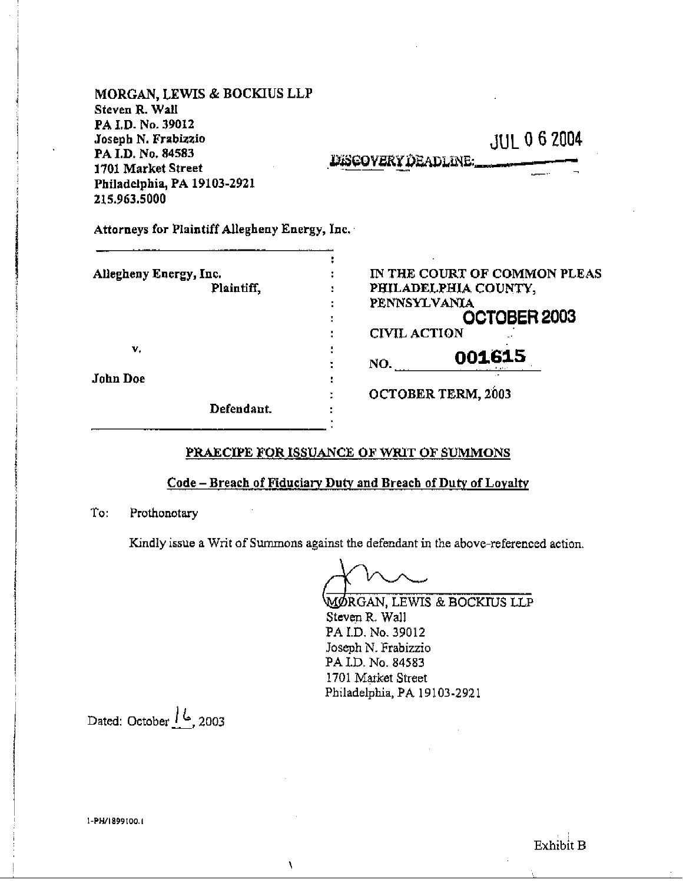| <b>MORGAN, LEWIS &amp; BOCKIUS LLP</b><br>Steven R. Wall                                                                           |                                     |
|------------------------------------------------------------------------------------------------------------------------------------|-------------------------------------|
| PA I.D. No. 39012<br>Joseph N. Frabizzio<br>PA I.D. No. 84583<br>1701 Market Street<br>Philadelphia, PA 19103-2921<br>215.963.5000 | JUL 0 6 2004<br>DESCOVERY DEADLINE: |
| Attorneys for Plaintiff Allegheny Energy, Inc.                                                                                     |                                     |

| Allegheny Energy, Inc. | IN THE COURT OF COMMON PLEAS |
|------------------------|------------------------------|
| Plaintiff,             | PHILADELPHIA COUNTY,         |
|                        | PENNSYLVANIA                 |
|                        | OCTOBER 2003                 |
|                        | <b>CIVIL ACTION</b>          |
| v.                     | 001615                       |
|                        | NO.                          |
| John Doe               |                              |
|                        | <b>OCTOBER TERM, 2003</b>    |
| Defendant.             |                              |
|                        |                              |

## PRAECIPE FOR ISSUANCE OF WRIT OF SUMMONS

### Code - Breach of Fiduciary Duty and Breach of Duty of Loyalty

To: Prothonotary

Kindly issue a Writ of Summons against the defendant in the above-referenced action.

 $\bar{\chi}$ 

**MØRGAN, LEWIS & BOCKIUS LLP** Steven R. Wall PA I.D. No. 39012 Joseph N. Frabizzio PA I.D. No. 84583 1701 Market Street Philadelphia, PA 19103-2921

Dated: October  $/6$ , 2003

1-PH/1899100.1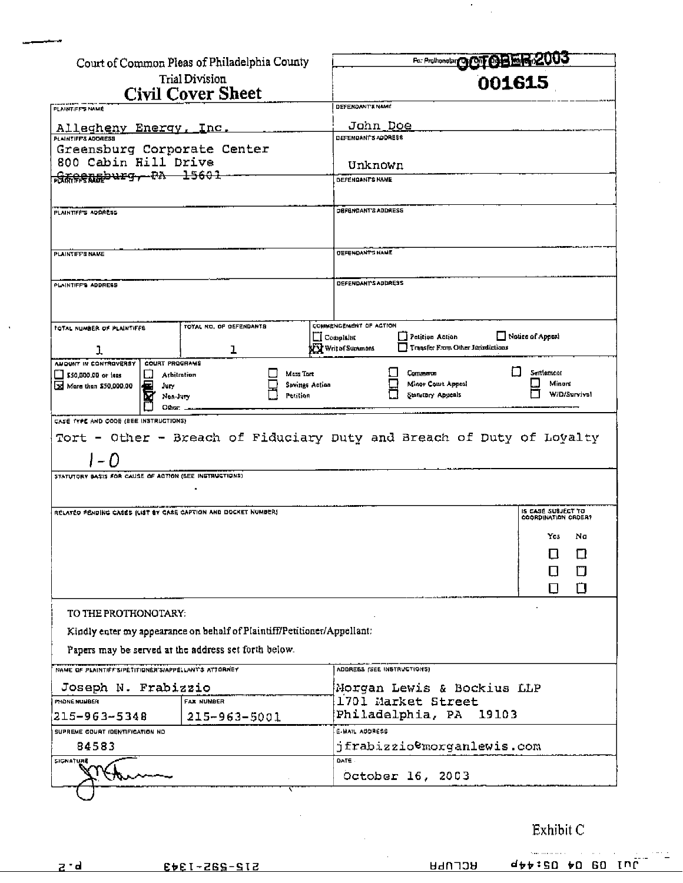|                                                                                                                                 | Court of Common Pleas of Philadelphia County                            |                       |                                | For Producertory Of CHER-2003                                 |                        |
|---------------------------------------------------------------------------------------------------------------------------------|-------------------------------------------------------------------------|-----------------------|--------------------------------|---------------------------------------------------------------|------------------------|
|                                                                                                                                 | Trial Division                                                          | 001615                |                                |                                                               |                        |
|                                                                                                                                 | Civil Cover Sheet                                                       |                       |                                |                                                               |                        |
| PLAINTIFF'S NAME                                                                                                                |                                                                         |                       | DEFENDANT'S NAME               |                                                               |                        |
| Allegheny Energy, Inc.                                                                                                          |                                                                         |                       | John Doe                       |                                                               |                        |
| <b>PLAINTIFFS ADDRESS</b><br>Greensburg Corporate Center                                                                        |                                                                         |                       | <b>DEFENDANT'S ADDRESS</b>     |                                                               |                        |
| 800 Cabin Hill Drive                                                                                                            |                                                                         |                       | Unknown                        |                                                               |                        |
| <del>greensburg, PA 15601</del>                                                                                                 |                                                                         |                       | DEFENDANTS HAME                |                                                               |                        |
|                                                                                                                                 |                                                                         |                       |                                |                                                               |                        |
| PLAINTIFF'S ADDRESS                                                                                                             |                                                                         |                       | DEFENDANT'S ADDRESS            |                                                               |                        |
|                                                                                                                                 |                                                                         |                       |                                |                                                               |                        |
|                                                                                                                                 |                                                                         |                       |                                |                                                               |                        |
| <b>PLAINTIFFS NAME</b>                                                                                                          |                                                                         |                       | <b>DEFENDANT'S NAME</b>        |                                                               |                        |
|                                                                                                                                 |                                                                         |                       | DEFENDANTS ADDRESS             |                                                               |                        |
| <b>PLAINTIFF'S ADDRESS</b>                                                                                                      |                                                                         |                       |                                |                                                               |                        |
|                                                                                                                                 |                                                                         |                       |                                |                                                               |                        |
| <b>TOTAL NUMBER OF PLAINTIFFS</b>                                                                                               | TOTAL NO. OF OEFENDANTS                                                 |                       | COMMENCEMENT OF ACTION         |                                                               |                        |
|                                                                                                                                 |                                                                         |                       | ∟l Complaint⊔<br>Write(Summons | <b>J Petition Action</b><br>Transfer From Other Juriadictions | Notice of Appeal       |
| ı<br>ANOUNT IN CONTROVERSY<br><b>COURT PROGRAMS</b>                                                                             | ı                                                                       |                       |                                |                                                               |                        |
| \$50,000.00 or less<br>Arbitration                                                                                              | Mass Tort                                                               |                       |                                | Commerce                                                      | Sentement              |
| 3d Mare than \$50,000.00<br>Jury<br>Non-Jury                                                                                    | Petition                                                                | <b>Sevings Action</b> |                                | Minor Court Appeal<br>Statutory Appeals                       | Minore<br>W/D/Survival |
| Other: .                                                                                                                        |                                                                         |                       |                                |                                                               |                        |
| Tort - Other - Breach of Fiduciary Duty and Breach of Duty of Loyalty<br>STATUTORY BASIS FOR CAUSE OF ACTION (SEE INSTRUCTIONS) |                                                                         |                       |                                |                                                               |                        |
| RELATED PENDING CASES (LIST BY CASE CAPTION AND DOCKET NUMBER)                                                                  |                                                                         |                       |                                |                                                               | IS CASE SUBJECT TO     |
|                                                                                                                                 |                                                                         |                       |                                |                                                               | COORDINATION CROER?    |
|                                                                                                                                 |                                                                         |                       |                                |                                                               | Yes<br>Na              |
|                                                                                                                                 |                                                                         |                       |                                |                                                               | O<br>U                 |
|                                                                                                                                 |                                                                         |                       |                                |                                                               | □                      |
|                                                                                                                                 |                                                                         |                       |                                |                                                               | $\Box$<br>0            |
| TO THE PROTHONOTARY:                                                                                                            |                                                                         |                       |                                |                                                               |                        |
|                                                                                                                                 | Kindly enter my appearance on behalf of Plaintiff/Petitioner/Appellant: |                       |                                |                                                               |                        |
|                                                                                                                                 | Papers may be served at the address set forth below.                    |                       |                                |                                                               |                        |
| NAME OF PLAINTIFF SIPETITIONER SIAPPELLANT'S ATTORNEY                                                                           |                                                                         |                       | ADDRESS (SEE INSTRUCTIONS)     |                                                               |                        |
| Joseph N. Frabizzio                                                                                                             |                                                                         |                       |                                | Morgan Lewis & Bockius LLP                                    |                        |
| PHONE NUMBER                                                                                                                    | <b>FAX NUMBER</b>                                                       |                       |                                | 1701 Market Street                                            |                        |
| $215 - 963 - 5348$                                                                                                              | 215-963-5001                                                            |                       |                                | Philadelphia, PA 19103                                        |                        |
| SUPREME COURT (DENTIFICATION NO                                                                                                 |                                                                         |                       | E-MAIL ADDRESS                 |                                                               |                        |
| 84583                                                                                                                           |                                                                         |                       |                                | jfrabizzio@morganlewis.com                                    |                        |
| <b>SIGNATURE</b>                                                                                                                |                                                                         |                       | DATE -                         | October 16, 2003                                              |                        |
|                                                                                                                                 |                                                                         |                       |                                |                                                               |                        |

Exhibit C

transferred to an anti-

 $\mathcal{L}(\mathcal{A})$  is a subset of  $\mathcal{L}(\mathcal{A})$ 

71 L

 $\langle \cdot \rangle$  $\frac{1}{2}$ 

 $\cdot$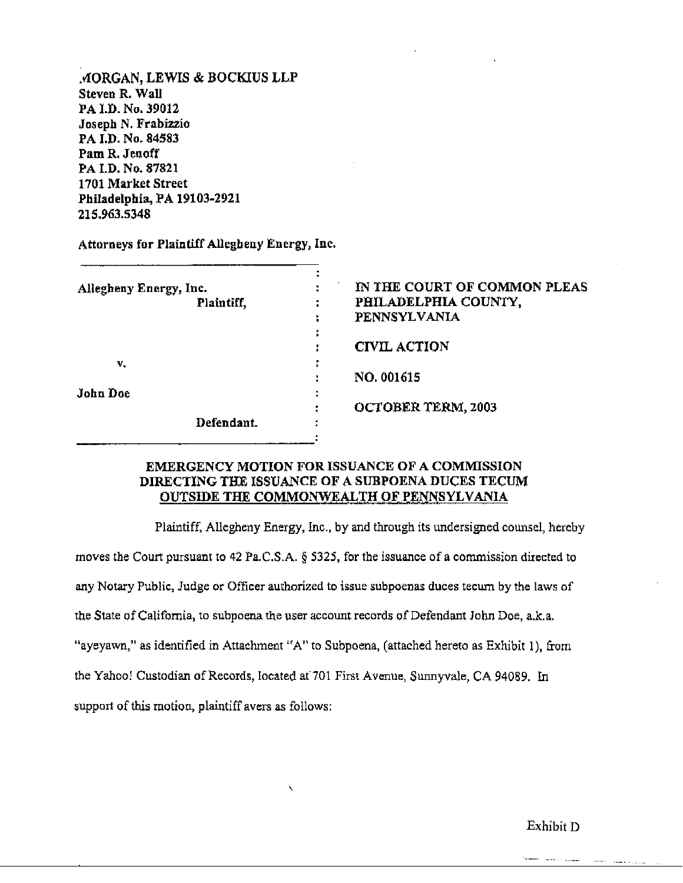MORGAN, LEWIS & BOCKIUS LLP Steven R. Wall PA I.D. No. 39012 Joseph N. Frabizzio PA I.D. No. 84583 Pam R. Jenoff PA I.D. No. 87821 1701 Market Street Philadelphia, PA 19103-2921 215.963.5348

Attorneys for Plaintiff Allegheny Energy, Inc.

| Allegheny Energy, Inc. | IN THE COURT OF COMMON PLEAS |  |
|------------------------|------------------------------|--|
| Plaintiff,             | PHILADELPHIA COUNTY,         |  |
|                        | PENNSYLVANIA                 |  |
|                        |                              |  |
|                        | <b>CIVIL ACTION</b>          |  |
| v.                     |                              |  |
|                        | NO. 001615                   |  |
| <b>John Doe</b>        |                              |  |
|                        | OCTOBER TERM, 2003           |  |
| Defendant.             |                              |  |
|                        |                              |  |

### EMERGENCY MOTION FOR ISSUANCE OF A COMMISSION DIRECTING THE ISSUANCE OF A SUBPOENA DUCES TECUM OUTSIDE THE COMMONWEALTH OF PENNSYLVANIA

Plaintiff, Allegheny Energy, Inc., by and through its undersigned counsel, hereby moves the Court pursuant to 42 Pa.C.S.A. § 5325, for the issuance of a commission directed to any Notary Public, Judge or Officer authorized to issue subpoenas duces tecum by the laws of the State of California, to subpoena the user account records of Defendant John Doe, a.k.a. "ayeyawn," as identified in Attachment "A" to Subpoena, (attached hereto as Exhibit 1), from the Yahoo! Custodian of Records, located at 701 First Avenue, Sunnyvale, CA 94089. In support of this motion, plaintiff avers as follows:

Exhibit D

 $\sim$   $\sim$   $\sim$   $\sim$   $\sim$   $\sim$   $\sim$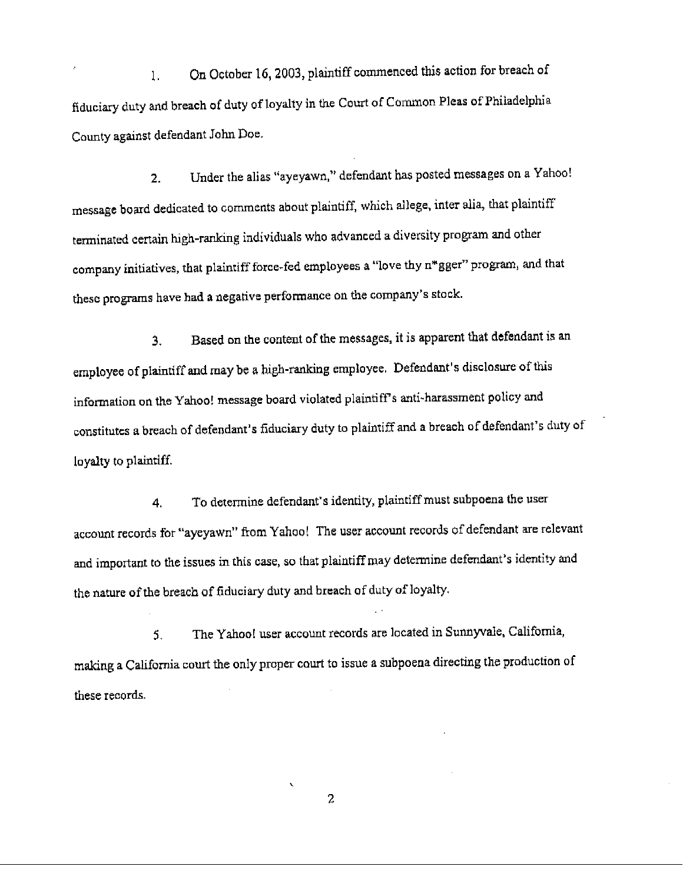On October 16, 2003, plaintiff commenced this action for breach of  $1.$ fiduciary duty and breach of duty of loyalty in the Court of Common Pleas of Philadelphia County against defendant John Doe.

Under the alias "ayeyawn," defendant has posted messages on a Yahoo!  $2.$ message board dedicated to comments about plaintiff, which allege, inter alia, that plaintiff terminated certain high-ranking individuals who advanced a diversity program and other company initiatives, that plaintiff force-fed employees a "love thy n\*gger" program, and that these programs have had a negative performance on the company's stock.

Based on the content of the messages, it is apparent that defendant is an 3. employee of plaintiff and may be a high-ranking employee. Defendant's disclosure of this information on the Yahoo! message board violated plaintiff's anti-harassment policy and constitutes a breach of defendant's fiduciary duty to plaintiff and a breach of defendant's duty of loyalty to plaintiff.

To determine defendant's identity, plaintiff must subpoena the user 4. account records for "ayeyawn" from Yahoo! The user account records of defendant are relevant and important to the issues in this case, so that plaintiff may determine defendant's identity and the nature of the breach of fiduciary duty and breach of duty of loyalty.

The Yahoo! user account records are located in Sunnyvale, California, 5. making a California court the only proper court to issue a subpoena directing the production of these records.

2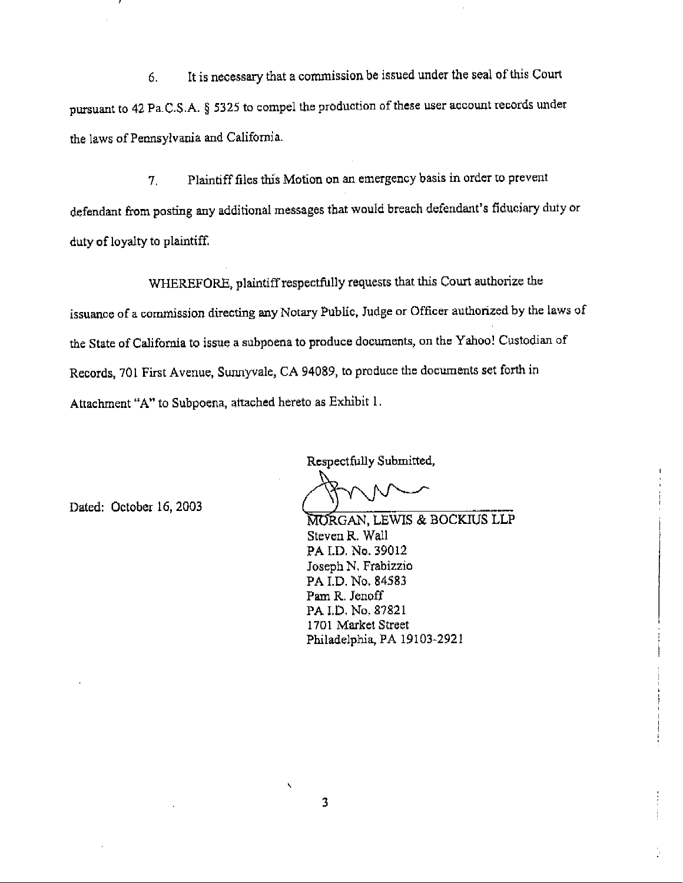It is necessary that a commission be issued under the seal of this Court 6. pursuant to 42 Pa.C.S.A. § 5325 to compel the production of these user account records under the laws of Pennsylvania and California.

Plaintiff files this Motion on an emergency basis in order to prevent  $7<sup>1</sup>$ defendant from posting any additional messages that would breach defendant's fiduciary duty or duty of loyalty to plaintiff.

WHEREFORE, plaintiff respectfully requests that this Court authorize the issuance of a commission directing any Notary Public, Judge or Officer authorized by the laws of the State of California to issue a subpoena to produce documents, on the Yahoo! Custodian of Records, 701 First Avenue, Sunnyvale, CA 94089, to produce the documents set forth in Attachment "A" to Subpoena, attached hereto as Exhibit 1.

Dated: October 16, 2003

Respectfully Submitted,

MORGAN, LEWIS & BOCKIUS LLP Steven R. Wall PA I.D. No. 39012 Joseph N. Frabizzio PA I.D. No. 84583 Pam R. Jenoff PA I.D. No. 87821 1701 Market Street Philadelphia, PA 19103-2921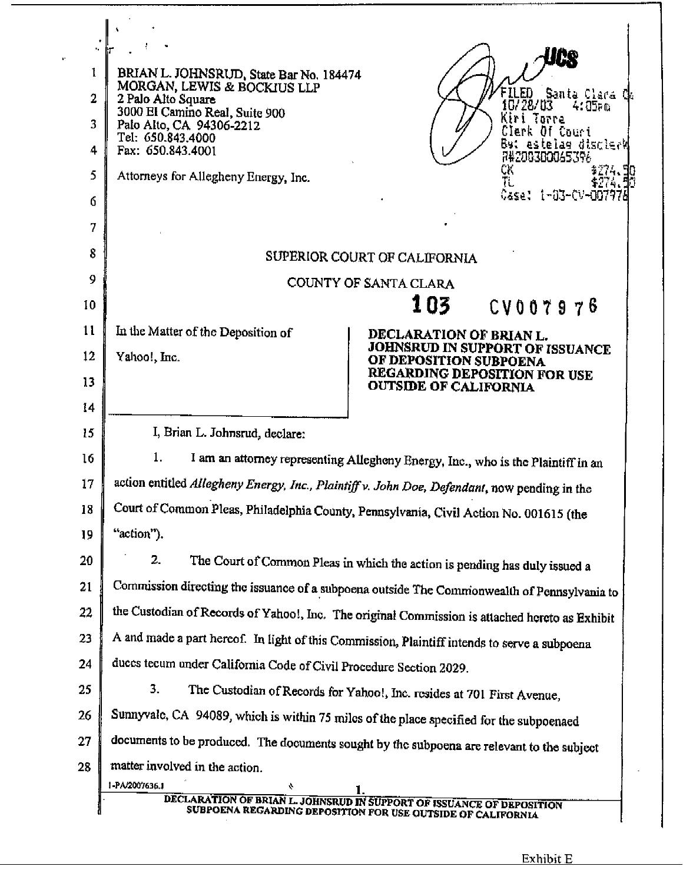| 1<br>2<br>3<br>4<br>5<br>6<br>7<br>8 | BRIAN L. JOHNSRUD, State Bar No. 184474<br>MORGAN, LEWIS & BOCKIUS LLP<br>Santa Clara Ch<br>ED.<br>2 Palo Alto Square<br>10/28/03<br>4:05թա<br>3000 El Camino Real, Suite 900<br>Kiri Torre<br>Palo Alto, CA 94306-2212<br>Clerk Of Court<br>Tel: 650.843.4000<br><b>But estelas discleri</b><br>Fax: 650.843.4001<br>74200300045396<br>CK.<br>Attorneys for Allegheny Energy, Inc.<br>Case: 1-03-CV-007978<br>SUPERIOR COURT OF CALIFORNIA |  |  |  |  |  |  |  |
|--------------------------------------|---------------------------------------------------------------------------------------------------------------------------------------------------------------------------------------------------------------------------------------------------------------------------------------------------------------------------------------------------------------------------------------------------------------------------------------------|--|--|--|--|--|--|--|
| 9                                    | COUNTY OF SANTA CLARA                                                                                                                                                                                                                                                                                                                                                                                                                       |  |  |  |  |  |  |  |
| 10                                   | 103<br>CV007976                                                                                                                                                                                                                                                                                                                                                                                                                             |  |  |  |  |  |  |  |
| 11                                   | In the Matter of the Deposition of<br>DECLARATION OF BRIAN L.                                                                                                                                                                                                                                                                                                                                                                               |  |  |  |  |  |  |  |
| 12                                   | JOHNSRUD IN SUPPORT OF ISSUANCE<br>Yahoo!, Inc.<br>OF DEPOSITION SUBPOENA<br>REGARDING DEPOSITION FOR USE                                                                                                                                                                                                                                                                                                                                   |  |  |  |  |  |  |  |
| 13                                   | <b>OUTSIDE OF CALIFORNIA</b>                                                                                                                                                                                                                                                                                                                                                                                                                |  |  |  |  |  |  |  |
| 14                                   |                                                                                                                                                                                                                                                                                                                                                                                                                                             |  |  |  |  |  |  |  |
| 15<br>16                             | I, Brian L. Johnsrud, declare:                                                                                                                                                                                                                                                                                                                                                                                                              |  |  |  |  |  |  |  |
| 17                                   | 1.<br>I am an attorney representing Alleghony Energy, Inc., who is the Plaintiff in an                                                                                                                                                                                                                                                                                                                                                      |  |  |  |  |  |  |  |
| 18                                   | action entitled Allegheny Energy, Inc., Plaintiff v. John Doe, Defendant, now pending in the<br>Court of Common Pleas, Philadelphia County, Pennsylvania, Civil Action No. 001615 (the                                                                                                                                                                                                                                                      |  |  |  |  |  |  |  |
| 19                                   | "action").                                                                                                                                                                                                                                                                                                                                                                                                                                  |  |  |  |  |  |  |  |
| 20                                   | 2.<br>The Court of Common Pleas in which the action is pending has duly issued a                                                                                                                                                                                                                                                                                                                                                            |  |  |  |  |  |  |  |
| 21                                   | Commission directing the issuance of a subpoena outside The Commonwealth of Pennsylvania to                                                                                                                                                                                                                                                                                                                                                 |  |  |  |  |  |  |  |
| 22                                   | the Custodian of Records of Yahoo!, Inc. The original Commission is attached hereto as Exhibit                                                                                                                                                                                                                                                                                                                                              |  |  |  |  |  |  |  |
| 23                                   | A and made a part hereof. In light of this Commission, Plaintiff intends to serve a subpoena                                                                                                                                                                                                                                                                                                                                                |  |  |  |  |  |  |  |
| 24                                   | duces tecum under California Code of Civil Procedure Section 2029.                                                                                                                                                                                                                                                                                                                                                                          |  |  |  |  |  |  |  |
| 25                                   | 3.<br>The Custodian of Records for Yahoo!, Inc. resides at 701 First Avenue,                                                                                                                                                                                                                                                                                                                                                                |  |  |  |  |  |  |  |
| 26                                   | Sunnyvale, CA 94089, which is within 75 miles of the place specified for the subpoenaed                                                                                                                                                                                                                                                                                                                                                     |  |  |  |  |  |  |  |
| 27                                   | documents to be produced. The documents sought by the subpoena are relevant to the subject                                                                                                                                                                                                                                                                                                                                                  |  |  |  |  |  |  |  |
| 28                                   | matter involved in the action.                                                                                                                                                                                                                                                                                                                                                                                                              |  |  |  |  |  |  |  |
|                                      | 1-PA/2007636.1<br>÷<br>DECLARATION OF BRIAN L. JOHNSRUD IN SUPPORT OF ISSUANCE OF DEPOSITION                                                                                                                                                                                                                                                                                                                                                |  |  |  |  |  |  |  |
|                                      | SUBPOENA REGARDING DEPOSITION FOR USE OUTSIDE OF CALIFORNIA                                                                                                                                                                                                                                                                                                                                                                                 |  |  |  |  |  |  |  |

 $\mathbf{r}^{\prime}$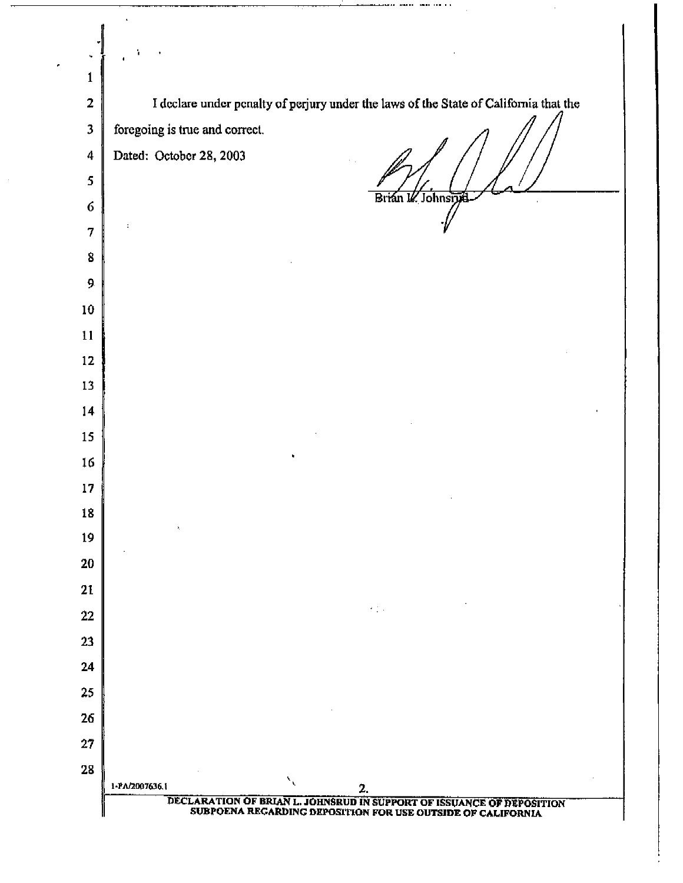| 1                       |                                                                                                                                      |
|-------------------------|--------------------------------------------------------------------------------------------------------------------------------------|
| $\mathbf{2}$            | I declare under penalty of perjury under the laws of the State of California that the                                                |
| $\overline{\mathbf{3}}$ | foregoing is true and correct.                                                                                                       |
| 4                       | Dated: October 28, 2003                                                                                                              |
| 5                       |                                                                                                                                      |
| $\mathbf 6$             | Brián Il Johnsrift                                                                                                                   |
| 7                       |                                                                                                                                      |
| 8                       |                                                                                                                                      |
| 9                       |                                                                                                                                      |
| 10                      |                                                                                                                                      |
| 11                      |                                                                                                                                      |
| 12                      |                                                                                                                                      |
| 13                      |                                                                                                                                      |
| 14                      |                                                                                                                                      |
| 15                      |                                                                                                                                      |
| 16                      |                                                                                                                                      |
| 17                      |                                                                                                                                      |
| 18                      | $\hat{\pmb{r}}_i$                                                                                                                    |
| 19                      |                                                                                                                                      |
| 20                      |                                                                                                                                      |
| 21                      | $\mathcal{A}=\mathcal{A}$ , where $\mathcal{A}$                                                                                      |
| 22                      |                                                                                                                                      |
| 23                      |                                                                                                                                      |
| 24                      |                                                                                                                                      |
| 25                      |                                                                                                                                      |
| 26                      |                                                                                                                                      |
| 27                      |                                                                                                                                      |
| 28                      | $\mathbf{v}_{\mathbf{v}}$<br>1-PA/2007636.1<br>2.                                                                                    |
|                         | DECLARATION OF BRIAN L. JOHNSRUD IN SUPPORT OF ISSUANCE OF DEPOSITION<br>SUBPOENA REGARDING DEPOSITION FOR USE OUTSIDE OF CALIFORNIA |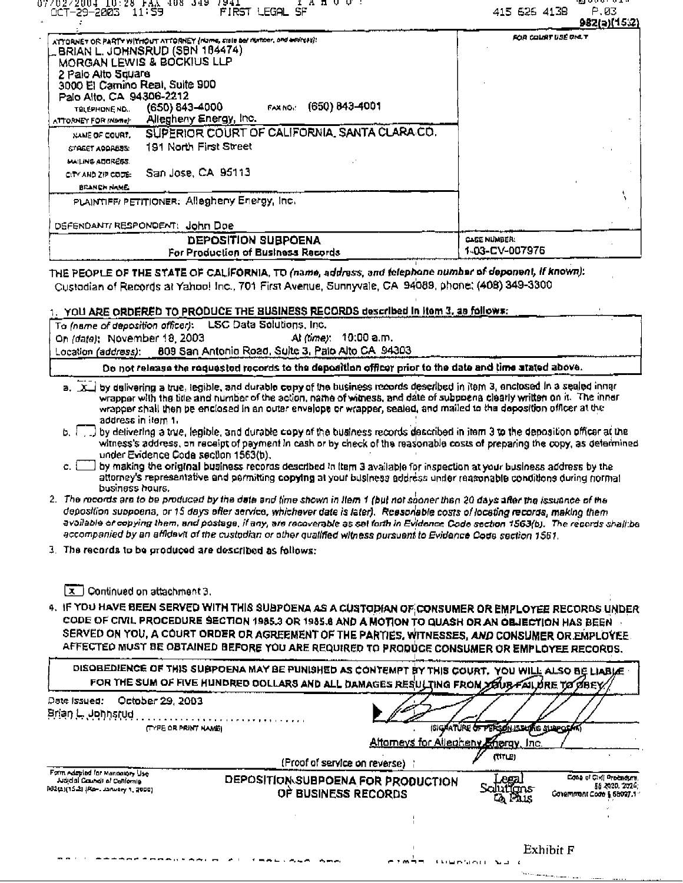| 07/02/2004 IO:20 PAA 408 J49 /941<br>1 A A U U 1<br>FIRST LEGAL SF<br>00T-29-2003 11:59                                                                                                                                                                                                                                                      | .<br>P.03<br>415 626 4138<br>982(a)(15:2) |
|----------------------------------------------------------------------------------------------------------------------------------------------------------------------------------------------------------------------------------------------------------------------------------------------------------------------------------------------|-------------------------------------------|
| ATTORNET OR PARTY WITHOUT ATTORNEY (Market, Liste ber number, and educas):<br>BRIAN L. JOHNSRUD (SBN 184474)<br>MORGAN LEWIS & BOCKIUS LLP<br>2 Palo Alto Square<br>3000 El Camino Real, Sulte 900<br>Palo Alto, CA 94306-2212<br>FAX NO. (650) 843-4001<br>(650) 843-4000<br>THLEPHONE NO.<br>Allegheny Energy, Inc.<br>ATTORNEY FOR (Name) | FOR COURT USE ONLY                        |
| SUPERIOR COURT OF CALIFORNIA, SANTA CLARA CO.<br>NAME OF COURT.<br>191 North First Street<br>STAGET ADDRESS.<br><b>MAILING ADDRESS.</b><br>San Jose, CA 95113<br>CITY AND ZIP CODE:<br><b>BEANCH NAME.</b>                                                                                                                                   |                                           |
| PLAINTIFF/ PETITIONER: Allegheny Energy, Inc.<br>DEFENDANT/ RESPONDENT: John Doe<br>DEPOSITION SUBPOENA<br>For Production of Business Records                                                                                                                                                                                                | <b>CASE NUMBER:</b><br>1-03-CV-007976     |

THE PEOPLE OF THE STATE OF CALIFORNIA, TO (name, address, and telephone number of deponent, if known): Custodian of Records at Yahoo! Inc., 701 First Avenue, Sunnyvale, CA 94089, phone: (408) 349-3300

|  |       |  |  | ). YOU ARE ORDERED TO PRODUCE THE BUSINESS RECORDS described in item 3, as follow≢: . |
|--|-------|--|--|---------------------------------------------------------------------------------------|
|  | _____ |  |  |                                                                                       |
|  |       |  |  |                                                                                       |

| To (name of deposition officer): LSC Data Solutions, Inc.                                               |  |  |  |  |  |
|---------------------------------------------------------------------------------------------------------|--|--|--|--|--|
| At <i>(time)</i> : 10:00 a.m.<br>On (date): November 18, 2003                                           |  |  |  |  |  |
| 809 San Antonio Road, Sulte 3, Palo Alto CA 94303<br>Location (a <i>ddress)</i> :                       |  |  |  |  |  |
| Do not release the requested records to the deposition officer prior to the date and time stated above. |  |  |  |  |  |

- a. X by delivering a true, legible, and durable copy of the business records described in item 3, enclosed in a sealed inner wrapper with the title and number of the action, name of witness, and date of subpoena clearly written on it. The inner wrapper shall then be enclosed in an outer envelope or wrapper, sealed, and mailed to the deposition officer at the address in item 1.
- b. [75] by detivering a true, legible, and durable copy of the business records described in item 3 to the deposition officer at the witness's address, on receipt of payment in cash or by check of the reasonable costs of preparing the copy, as determined under Evidence Coda section 1563(b).
- c. [11] by making the original business records described in item 3 available for inspection at your business address by the attorney's representative and permitting copying at your business address under reasonable conditions during normal business hours.
- 2. The records are to be produced by the date and time shown in Item 1 (but not sooner than 20 days after the issuance of the deposition suppoena, or 15 days after service, whichaver date is later). Reasonable costs of locating records, making them available or copying them, and postage, if any, are recoverable as set forth in Evidence Code section 1563(b). The records shall be accompanied by an affidevit of the custodian or other qualified witness pursuent to Evidence Code section 1561.
- 3. The records to be produced are described as follows:

 $\overline{[x]}$  Continued on attachment 3.

4. IF YOU HAVE BEEN SERVED WITH THIS SUBPOENA AS A CUSTODIAN OF CONSUMER OR EMPLOYEE RECORDS UNDER CODE OF CIVIL PROCEDURE SECTION 1985.3 OR 1985.8 AND A MOTION TO QUASH OR AN OBJECTION HAS BEEN SERVED ON YOU, A COURT ORDER OR AGREEMENT OF THE PARTIES, WITNESSES, AND CONSUMER OR EMPLOYEE. AFFECTED MUST BE OBTAINED BEFORE YOU ARE REQUIRED TO PRODUCE CONSUMER OR EMPLOYEE RECORDS.

| DISOBEDIENCE OF THIS SUBPOENA MAY BE PUNISHED AS CONTEMPT BY THIS COURT. YOU WILL ALSO BE LIABLE |  |  |
|--------------------------------------------------------------------------------------------------|--|--|
|                                                                                                  |  |  |
|                                                                                                  |  |  |
|                                                                                                  |  |  |

| October 29, 2003<br>Date Issued:<br>(TYPE OR PRINT NAME)                                              |                                                           | <b>ISIGNATURE OF PERSON ISSUARE SURPORAT</b><br>Altomeys for Allegheny Energy, Inc. |               |                                                                         |
|-------------------------------------------------------------------------------------------------------|-----------------------------------------------------------|-------------------------------------------------------------------------------------|---------------|-------------------------------------------------------------------------|
|                                                                                                       | (Proof of service on reverse)                             |                                                                                     | (TTL)         |                                                                         |
| Form Adduind for Managine Use<br>Judicial Council of Confornia<br>932(2)(15-2) [Rp-, January 1, 2000] | DEPOSITION SUBPOENA FOR PRODUCTION<br>OF BUSINESS RECORDS |                                                                                     | era<br>Q Plus | Cose of Civil Procedure.<br>58 8320, 2024.<br>Covernment Code § 65027.1 |
|                                                                                                       |                                                           |                                                                                     |               |                                                                         |
|                                                                                                       |                                                           |                                                                                     |               | Exhibit F                                                               |

*SAMERMAN NELL*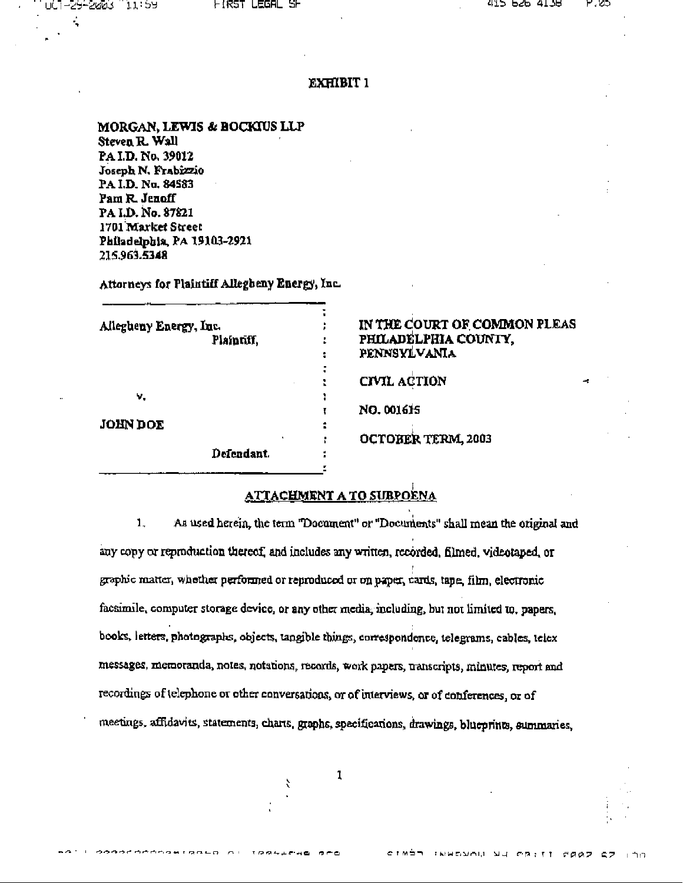÷

#### **EXHIBIT 1**

MORGAN, LEWIS & BOCKIUS LLP Steven R. Wall PA I.D. No. 39012 Joseph N. Frabizzio PA I.D. No. 84583 Pam R. Jenoff PA LD, No. 87821 1701 Market Street Philadelphia, PA 19103-2921 215.963.5348

Attorneys for Plaintiff Allegbeny Energy, Inc.

| Allegheny Energy, Inc. |            |                |
|------------------------|------------|----------------|
|                        | Plaintiff, |                |
|                        |            | ÷              |
|                        |            |                |
|                        |            |                |
| ν.                     |            |                |
|                        |            |                |
| <b>JOHN DOE</b>        |            |                |
|                        | ٠          | ٠              |
|                        | Defendant. | $\blacksquare$ |
|                        |            |                |

### IN THE COURT OF COMMON PLEAS PHILADELPHIA COUNTY. PENNSYLVANIA

**CIVIL ACTION** 

NO. 001615

OCTOBER TERM, 2003

# **ATTACHMENT A TO SUBPOENA**

 $1<sub>-</sub>$ As used herein, the term "Document" or "Documents" shall mean the original and any copy or reproduction thereof, and includes any written, recorded, filmed, videotaped, or graphic matter, whether performed or reproduced or on paper, cards, tape, film, electronic facsimile, computer storage device, or any other media, including, but not limited to, papers, books, letters, photographs, objects, tangible things, correspondence, telegrams, cables, telex messages, memoranda, notes, notations, records, work papers, uanscripts, minutes, report and recordings of telephone or other conversations, or of interviews, or of conferences, or of meetings, affidavits, statements, charts, graphs, specifications, drawings, blueprints, summaries,

ŕ.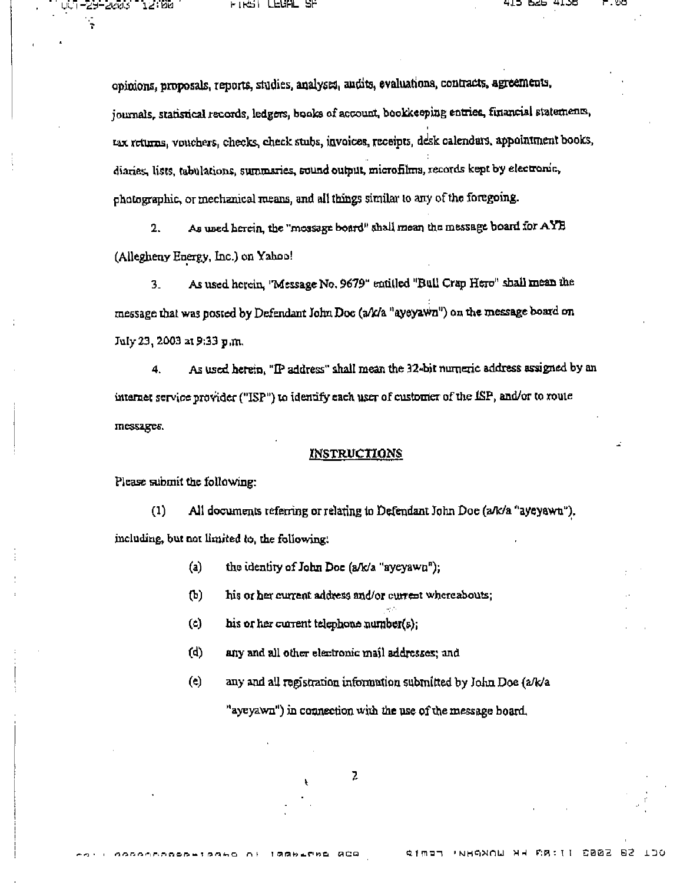-25-2003

DS: 25

opinions, proposals, reports, studies, analyses, audits, evaluations, contracts, agreements, journals, statistical records, ledgers, books of account, bookkeeping entries, financial statements, tax returns, vouchers, checks, check stubs, invoices, receipts, desk calendars, appointment books, diaries, lists, tabulations, summaries, sound output, microfilms, records kept by electronic, photographic, or mechanical means, and all things similar to any of the foregoing.

As used herein, the "mossage board" shall mean the message board for  $\mathbf{AYB}$  $\overline{2}$ . (Allegheny Energy, Inc.) on Yahoo!

As used herein, 'Message No. 9679" entitled "Bull Crap Hero" shall mean the  $3$ message that was posted by Defendant John Doc (a/k/a "ayeyawn") on the message board on July 23, 2003 at 9:33 p.m.

As used herein, "IP address" shall mean the 32-bit numeric address assigned by an 4. internet service provider ("ISP") to identify each user of customer of the  $\text{ISP}$ , and/or to route messages.

#### **INSTRUCTIONS**

Please submit the following:

 $(1)$ All documents referring or relating to Defendant John Doe (a/k/a "ayeyawn"). including, but not limited to, the following.

- $(a)$ the identity of John Doe (a/k/a "ayeyawn");
- $(b)$ his or her current address and/or current whereabouts;
- $\mathbf{c}$ his or her current telephone number( $s$ );
- $(d)$ any and all other electronic mail addresses; and
- $(e)$ any and all registration information submitted by John Doe (a/k/a

"ayeyawn") in connection with the use of the message board.

2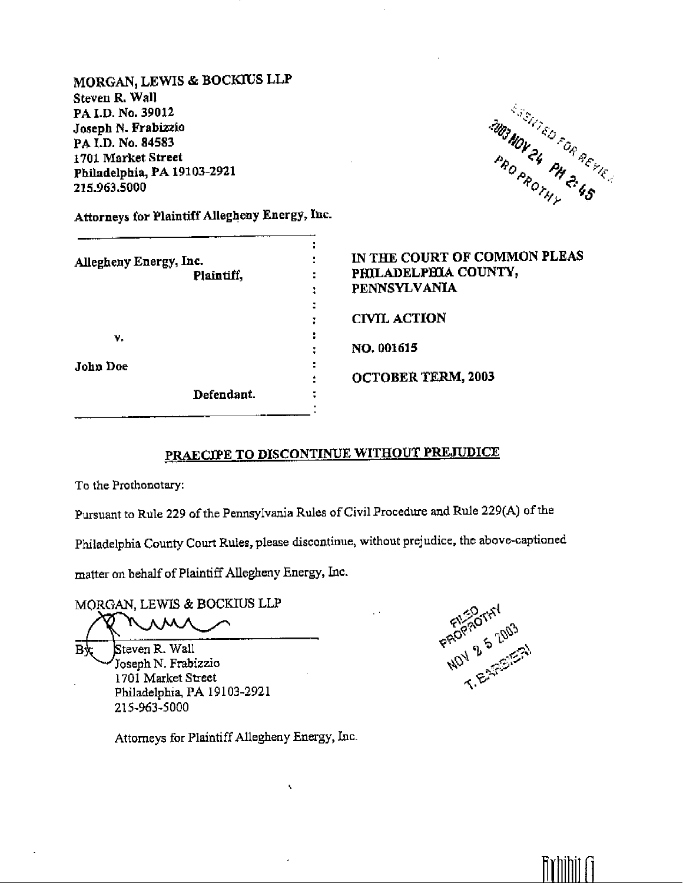MORGAN, LEWIS & BOCKIUS LLP Steven R. Wall PA I.D. No. 39012 Joseph N. Frabizzio PAI.D. No. 84583 1701 Market Street Philadelphia, PA 19103-2921 215.963.5000

**MONTED FOR REYLES** 

Attorneys for Plaintiff Allegheny Energy, Inc.

| Allegheny Energy, Inc.<br>Plaintiff, | IN THE COURT OF COMMON PLEAS<br>PHILADELPHIA COUNTY,<br>٠<br><b>PENNSYLVANIA</b> |
|--------------------------------------|----------------------------------------------------------------------------------|
|                                      | <b>CIVIL ACTION</b>                                                              |
| ν.                                   | NO. 001615                                                                       |
| John Doe                             | ٠<br><b>OCTOBER TERM, 2003</b>                                                   |
| Defendant.                           |                                                                                  |

# PRAECIPE TO DISCONTINUE WITHOUT PREJUDICE

To the Prothonotary:

Pursuant to Rule 229 of the Pennsylvania Rules of Civil Procedure and Rule 229(A) of the

Philadelphia County Court Rules, please discontinue, without prejudice, the above-captioned

matter on behalf of Plaintiff Allegheny Energy, Inc.

MORGAN, LEWIS & BOCKIUS LLP

Вk Steven R. Wall Joseph N. Frabizzio 1701 Market Street Philadelphia, PA 19103-2921 215-963-5000

Attorneys for Plaintiff Allegheny Energy, Inc.

 $\bar{\mathbf{X}}$